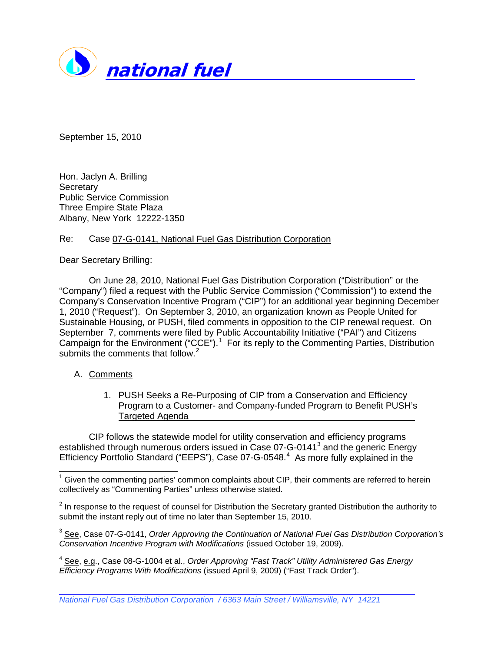

September 15, 2010

Hon. Jaclyn A. Brilling **Secretary** Public Service Commission Three Empire State Plaza Albany, New York 12222-1350

## Re: Case 07-G-0141, National Fuel Gas Distribution Corporation

Dear Secretary Brilling:

On June 28, 2010, National Fuel Gas Distribution Corporation ("Distribution" or the "Company") filed a request with the Public Service Commission ("Commission") to extend the Company's Conservation Incentive Program ("CIP") for an additional year beginning December 1, 2010 ("Request"). On September 3, 2010, an organization known as People United for Sustainable Housing, or PUSH, filed comments in opposition to the CIP renewal request. On September 7, comments were filed by Public Accountability Initiative ("PAI") and Citizens Campaign for the Environment ("CCE").<sup>[1](#page-0-0)</sup> For its reply to the Commenting Parties, Distribution submits the comments that follow.<sup>[2](#page-0-1)</sup>

# A. Comments

1. PUSH Seeks a Re-Purposing of CIP from a Conservation and Efficiency Program to a Customer- and Company-funded Program to Benefit PUSH's Targeted Agenda

CIP follows the statewide model for utility conservation and efficiency programs established through numerous orders issued in Case 07-G-0141<sup>[3](#page-0-2)</sup> and the generic Energy Efficiency Portfolio Standard ("EEPS"), Case 07-G-05[4](#page-0-3)8.<sup>4</sup> As more fully explained in the

<span id="page-0-0"></span> $1$  Given the commenting parties' common complaints about CIP, their comments are referred to herein collectively as "Commenting Parties" unless otherwise stated.

<span id="page-0-1"></span> $2$  In response to the request of counsel for Distribution the Secretary granted Distribution the authority to submit the instant reply out of time no later than September 15, 2010.

<span id="page-0-2"></span><sup>&</sup>lt;sup>3</sup> See, Case 07-G-0141, *Order Approving the Continuation of National Fuel Gas Distribution Corporation's Conservation Incentive Program with Modifications* (issued October 19, 2009).

<span id="page-0-3"></span><sup>4</sup> See, e.g., Case 08-G-1004 et al., *Order Approving "Fast Track" Utility Administered Gas Energy Efficiency Programs With Modifications* (issued April 9, 2009) ("Fast Track Order").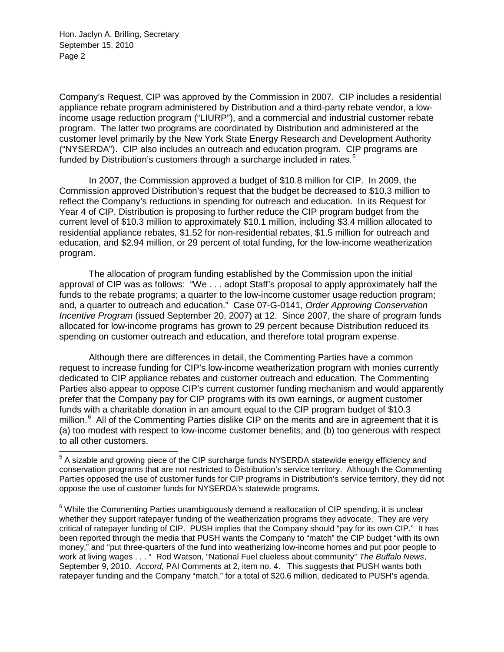Company's Request, CIP was approved by the Commission in 2007. CIP includes a residential appliance rebate program administered by Distribution and a third-party rebate vendor, a lowincome usage reduction program ("LIURP"), and a commercial and industrial customer rebate program. The latter two programs are coordinated by Distribution and administered at the customer level primarily by the New York State Energy Research and Development Authority ("NYSERDA"). CIP also includes an outreach and education program. CIP programs are funded by Distribution's customers through a surcharge included in rates. $5$ 

In 2007, the Commission approved a budget of \$10.8 million for CIP. In 2009, the Commission approved Distribution's request that the budget be decreased to \$10.3 million to reflect the Company's reductions in spending for outreach and education. In its Request for Year 4 of CIP, Distribution is proposing to further reduce the CIP program budget from the current level of \$10.3 million to approximately \$10.1 million, including \$3.4 million allocated to residential appliance rebates, \$1.52 for non-residential rebates, \$1.5 million for outreach and education, and \$2.94 million, or 29 percent of total funding, for the low-income weatherization program.

The allocation of program funding established by the Commission upon the initial approval of CIP was as follows: "We . . . adopt Staff's proposal to apply approximately half the funds to the rebate programs; a quarter to the low-income customer usage reduction program; and, a quarter to outreach and education." Case 07-G-0141, *Order Approving Conservation Incentive Program* (issued September 20, 2007) at 12. Since 2007, the share of program funds allocated for low-income programs has grown to 29 percent because Distribution reduced its spending on customer outreach and education, and therefore total program expense.

Although there are differences in detail, the Commenting Parties have a common request to increase funding for CIP's low-income weatherization program with monies currently dedicated to CIP appliance rebates and customer outreach and education. The Commenting Parties also appear to oppose CIP's current customer funding mechanism and would apparently prefer that the Company pay for CIP programs with its own earnings, or augment customer funds with a charitable donation in an amount equal to the CIP program budget of \$10.3 million.<sup>[6](#page-1-1)</sup> All of the Commenting Parties dislike CIP on the merits and are in agreement that it is (a) too modest with respect to low-income customer benefits; and (b) too generous with respect to all other customers.

<span id="page-1-0"></span><sup>&</sup>lt;sup>5</sup> A sizable and growing piece of the CIP surcharge funds NYSERDA statewide energy efficiency and conservation programs that are not restricted to Distribution's service territory. Although the Commenting Parties opposed the use of customer funds for CIP programs in Distribution's service territory, they did not oppose the use of customer funds for NYSERDA's statewide programs.

<span id="page-1-1"></span> $6$  While the Commenting Parties unambiguously demand a reallocation of CIP spending, it is unclear whether they support ratepayer funding of the weatherization programs they advocate. They are very critical of ratepayer funding of CIP. PUSH implies that the Company should "pay for its own CIP." It has been reported through the media that PUSH wants the Company to "match" the CIP budget "with its own money," and "put three-quarters of the fund into weatherizing low-income homes and put poor people to work at living wages . . . " Rod Watson, "National Fuel clueless about community" *The Buffalo News*, September 9, 2010. *Accord*, PAI Comments at 2, item no. 4. This suggests that PUSH wants both ratepayer funding and the Company "match," for a total of \$20.6 million, dedicated to PUSH's agenda.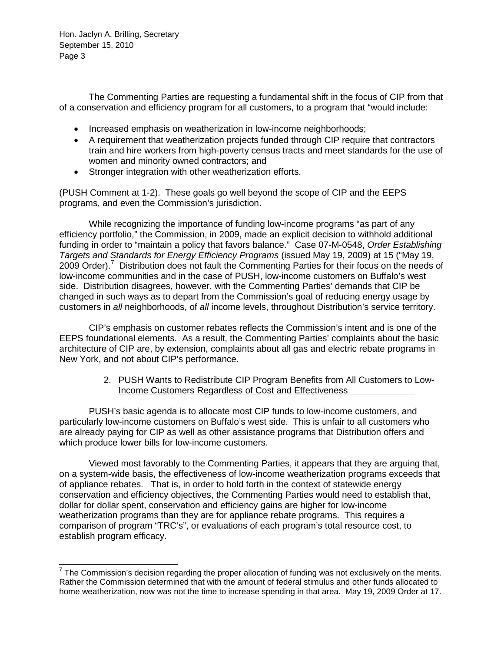The Commenting Parties are requesting a fundamental shift in the focus of CIP from that of a conservation and efficiency program for all customers, to a program that "would include:

- Increased emphasis on weatherization in low-income neighborhoods;
- A requirement that weatherization projects funded through CIP require that contractors train and hire workers from high-poverty census tracts and meet standards for the use of women and minority owned contractors; and
- Stronger integration with other weatherization efforts.

(PUSH Comment at 1-2). These goals go well beyond the scope of CIP and the EEPS programs, and even the Commission's jurisdiction.

While recognizing the importance of funding low-income programs "as part of any efficiency portfolio," the Commission, in 2009, made an explicit decision to withhold additional funding in order to "maintain a policy that favors balance." Case 07-M-0548, *Order Establishing Targets and Standards for Energy Efficiency Programs* (issued May 19, 2009) at 15 ("May 19, 2009 Order).<sup>[7](#page-2-0)</sup> Distribution does not fault the Commenting Parties for their focus on the needs of low-income communities and in the case of PUSH, low-income customers on Buffalo's west side. Distribution disagrees, however, with the Commenting Parties' demands that CIP be changed in such ways as to depart from the Commission's goal of reducing energy usage by customers in *all* neighborhoods, of *all* income levels, throughout Distribution's service territory.

CIP's emphasis on customer rebates reflects the Commission's intent and is one of the EEPS foundational elements. As a result, the Commenting Parties' complaints about the basic architecture of CIP are, by extension, complaints about all gas and electric rebate programs in New York, and not about CIP's performance.

> 2. PUSH Wants to Redistribute CIP Program Benefits from All Customers to Low-Income Customers Regardless of Cost and Effectiveness

PUSH's basic agenda is to allocate most CIP funds to low-income customers, and particularly low-income customers on Buffalo's west side. This is unfair to all customers who are already paying for CIP as well as other assistance programs that Distribution offers and which produce lower bills for low-income customers.

Viewed most favorably to the Commenting Parties, it appears that they are arguing that, on a system-wide basis, the effectiveness of low-income weatherization programs exceeds that of appliance rebates. That is, in order to hold forth in the context of statewide energy conservation and efficiency objectives, the Commenting Parties would need to establish that, dollar for dollar spent, conservation and efficiency gains are higher for low-income weatherization programs than they are for appliance rebate programs. This requires a comparison of program "TRC's", or evaluations of each program's total resource cost, to establish program efficacy.

<span id="page-2-0"></span> $7$  The Commission's decision regarding the proper allocation of funding was not exclusively on the merits. Rather the Commission determined that with the amount of federal stimulus and other funds allocated to home weatherization, now was not the time to increase spending in that area. May 19, 2009 Order at 17.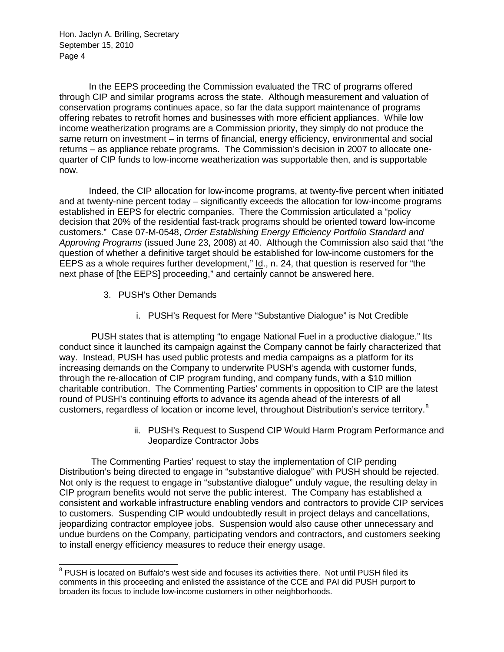In the EEPS proceeding the Commission evaluated the TRC of programs offered through CIP and similar programs across the state. Although measurement and valuation of conservation programs continues apace, so far the data support maintenance of programs offering rebates to retrofit homes and businesses with more efficient appliances. While low income weatherization programs are a Commission priority, they simply do not produce the same return on investment – in terms of financial, energy efficiency, environmental and social returns – as appliance rebate programs. The Commission's decision in 2007 to allocate onequarter of CIP funds to low-income weatherization was supportable then, and is supportable now.

Indeed, the CIP allocation for low-income programs, at twenty-five percent when initiated and at twenty-nine percent today – significantly exceeds the allocation for low-income programs established in EEPS for electric companies. There the Commission articulated a "policy decision that 20% of the residential fast-track programs should be oriented toward low-income customers." Case 07-M-0548, *Order Establishing Energy Efficiency Portfolio Standard and Approving Programs* (issued June 23, 2008) at 40. Although the Commission also said that "the question of whether a definitive target should be established for low-income customers for the EEPS as a whole requires further development," Id., n. 24, that question is reserved for "the next phase of [the EEPS] proceeding," and certainly cannot be answered here.

- 3. PUSH's Other Demands
	- i. PUSH's Request for Mere "Substantive Dialogue" is Not Credible

PUSH states that is attempting "to engage National Fuel in a productive dialogue." Its conduct since it launched its campaign against the Company cannot be fairly characterized that way. Instead, PUSH has used public protests and media campaigns as a platform for its increasing demands on the Company to underwrite PUSH's agenda with customer funds, through the re-allocation of CIP program funding, and company funds, with a \$10 million charitable contribution. The Commenting Parties' comments in opposition to CIP are the latest round of PUSH's continuing efforts to advance its agenda ahead of the interests of all customers, regardless of location or income level, throughout Distribution's service territory.<sup>[8](#page-3-0)</sup>

> ii. PUSH's Request to Suspend CIP Would Harm Program Performance and Jeopardize Contractor Jobs

The Commenting Parties' request to stay the implementation of CIP pending Distribution's being directed to engage in "substantive dialogue" with PUSH should be rejected. Not only is the request to engage in "substantive dialogue" unduly vague, the resulting delay in CIP program benefits would not serve the public interest. The Company has established a consistent and workable infrastructure enabling vendors and contractors to provide CIP services to customers. Suspending CIP would undoubtedly result in project delays and cancellations, jeopardizing contractor employee jobs. Suspension would also cause other unnecessary and undue burdens on the Company, participating vendors and contractors, and customers seeking to install energy efficiency measures to reduce their energy usage.

<span id="page-3-0"></span><sup>&</sup>lt;sup>8</sup> PUSH is located on Buffalo's west side and focuses its activities there. Not until PUSH filed its comments in this proceeding and enlisted the assistance of the CCE and PAI did PUSH purport to broaden its focus to include low-income customers in other neighborhoods.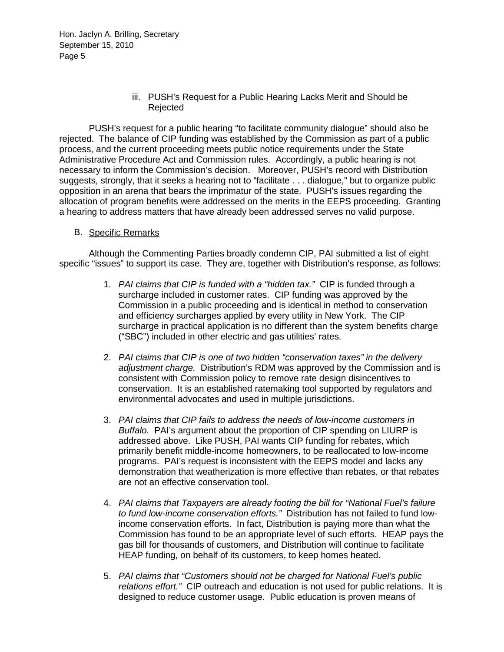## iii. PUSH's Request for a Public Hearing Lacks Merit and Should be Rejected

PUSH's request for a public hearing "to facilitate community dialogue" should also be rejected. The balance of CIP funding was established by the Commission as part of a public process, and the current proceeding meets public notice requirements under the State Administrative Procedure Act and Commission rules. Accordingly, a public hearing is not necessary to inform the Commission's decision. Moreover, PUSH's record with Distribution suggests, strongly, that it seeks a hearing not to "facilitate . . . dialogue," but to organize public opposition in an arena that bears the imprimatur of the state. PUSH's issues regarding the allocation of program benefits were addressed on the merits in the EEPS proceeding. Granting a hearing to address matters that have already been addressed serves no valid purpose.

## B. Specific Remarks

Although the Commenting Parties broadly condemn CIP, PAI submitted a list of eight specific "issues" to support its case. They are, together with Distribution's response, as follows:

- 1. *PAI claims that CIP is funded with a "hidden tax."* CIP is funded through a surcharge included in customer rates. CIP funding was approved by the Commission in a public proceeding and is identical in method to conservation and efficiency surcharges applied by every utility in New York. The CIP surcharge in practical application is no different than the system benefits charge ("SBC") included in other electric and gas utilities' rates.
- 2. *PAI claims that CIP is one of two hidden "conservation taxes" in the delivery adjustment charge.* Distribution's RDM was approved by the Commission and is consistent with Commission policy to remove rate design disincentives to conservation. It is an established ratemaking tool supported by regulators and environmental advocates and used in multiple jurisdictions.
- 3. *PAI claims that CIP fails to address the needs of low-income customers in Buffalo.* PAI's argument about the proportion of CIP spending on LIURP is addressed above. Like PUSH, PAI wants CIP funding for rebates, which primarily benefit middle-income homeowners, to be reallocated to low-income programs. PAI's request is inconsistent with the EEPS model and lacks any demonstration that weatherization is more effective than rebates, or that rebates are not an effective conservation tool.
- 4. *PAI claims that Taxpayers are already footing the bill for "National Fuel's failure to fund low-income conservation efforts."* Distribution has not failed to fund lowincome conservation efforts. In fact, Distribution is paying more than what the Commission has found to be an appropriate level of such efforts. HEAP pays the gas bill for thousands of customers, and Distribution will continue to facilitate HEAP funding, on behalf of its customers, to keep homes heated.
- 5. *PAI claims that "Customers should not be charged for National Fuel's public relations effort."* CIP outreach and education is not used for public relations. It is designed to reduce customer usage. Public education is proven means of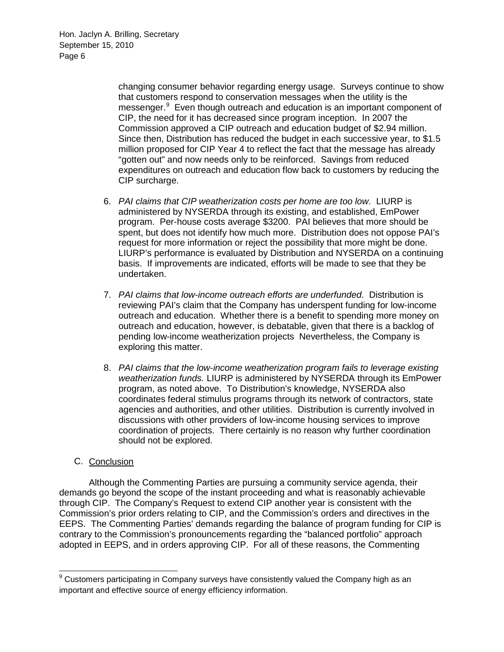> changing consumer behavior regarding energy usage. Surveys continue to show that customers respond to conservation messages when the utility is the messenger.<sup>[9](#page-5-0)</sup> Even though outreach and education is an important component of CIP, the need for it has decreased since program inception. In 2007 the Commission approved a CIP outreach and education budget of \$2.94 million. Since then, Distribution has reduced the budget in each successive year, to \$1.5 million proposed for CIP Year 4 to reflect the fact that the message has already "gotten out" and now needs only to be reinforced. Savings from reduced expenditures on outreach and education flow back to customers by reducing the CIP surcharge.

- 6. *PAI claims that CIP weatherization costs per home are too low*. LIURP is administered by NYSERDA through its existing, and established, EmPower program. Per-house costs average \$3200. PAI believes that more should be spent, but does not identify how much more. Distribution does not oppose PAI's request for more information or reject the possibility that more might be done. LIURP's performance is evaluated by Distribution and NYSERDA on a continuing basis. If improvements are indicated, efforts will be made to see that they be undertaken.
- 7. *PAI claims that low*-*income outreach efforts are underfunded*. Distribution is reviewing PAI's claim that the Company has underspent funding for low-income outreach and education. Whether there is a benefit to spending more money on outreach and education, however, is debatable, given that there is a backlog of pending low-income weatherization projects Nevertheless, the Company is exploring this matter.
- 8. *PAI claims that the low*-*income weatherization program fails to leverage existing weatherization funds.* LIURP is administered by NYSERDA through its EmPower program, as noted above. To Distribution's knowledge, NYSERDA also coordinates federal stimulus programs through its network of contractors, state agencies and authorities, and other utilities. Distribution is currently involved in discussions with other providers of low-income housing services to improve coordination of projects. There certainly is no reason why further coordination should not be explored.

# C. Conclusion

Although the Commenting Parties are pursuing a community service agenda, their demands go beyond the scope of the instant proceeding and what is reasonably achievable through CIP. The Company's Request to extend CIP another year is consistent with the Commission's prior orders relating to CIP, and the Commission's orders and directives in the EEPS. The Commenting Parties' demands regarding the balance of program funding for CIP is contrary to the Commission's pronouncements regarding the "balanced portfolio" approach adopted in EEPS, and in orders approving CIP. For all of these reasons, the Commenting

<span id="page-5-0"></span><sup>&</sup>lt;sup>9</sup> Customers participating in Company surveys have consistently valued the Company high as an important and effective source of energy efficiency information.